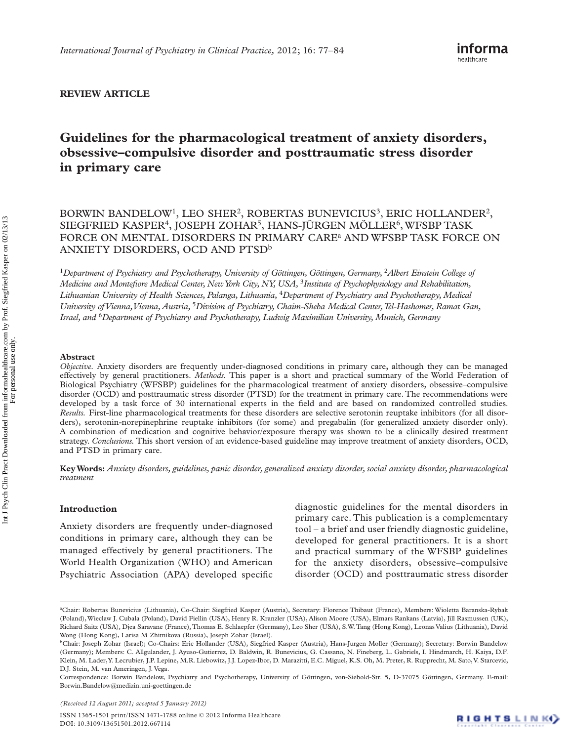# **REVIEW ARTICLE**

# **Guidelines for the pharmacological treatment of anxiety disorders, obsessive – compulsive disorder and posttraumatic stress disorder in primary care**

BORWIN BANDELOW<sup>1</sup>, LEO SHER<sup>2</sup>, ROBERTAS BUNEVICIUS<sup>3</sup>, ERIC HOLLANDER<sup>2</sup>, SIEGFRIED KASPER<sup>4</sup>, JOSEPH ZOHAR<sup>5</sup>, HANS-JÜRGEN MÖLLER<sup>6</sup>, WFSBP TASK FORCE ON MENTAL DISORDERS IN PRIMARY CARE<sup>a</sup> AND WFSBP TASK FORCE ON ANXIETY DISORDERS, OCD AND PTSD<sup>b</sup>

<sup>1</sup>Department of Psychiatry and Psychotherapy, University of Göttingen, Göttingen, Germany, <sup>2</sup>Albert Einstein College of *Medicine and Montefiore Medical Center, New York City, NY, USA, <sup>3</sup>Institute of Psychophysiology and Rehabilitation, Lithuanian University of Health Sciences, Palanga, Lithuania,*  <sup>4</sup>*Department of Psychiatry and Psychotherapy, Medical University of Vienna, Vienna, Austria,*  <sup>5</sup>*Division of Psychiatry, Chaim-Sheba Medical Center, Tel-Hashomer, Ramat Gan, Israel, and* 6*Department of Psychiatry and Psychotherapy, Ludwig Maximilian University, Munich, Germany* 

#### **Abstract**

*Objective.* Anxiety disorders are frequently under-diagnosed conditions in primary care, although they can be managed effectively by general practitioners. *Methods.* This paper is a short and practical summary of the World Federation of Biological Psychiatry (WFSBP) guidelines for the pharmacological treatment of anxiety disorders, obsessive – compulsive disorder (OCD) and posttraumatic stress disorder (PTSD) for the treatment in primary care. The recommendations were developed by a task force of 30 international experts in the field and are based on randomized controlled studies. *Results.* First-line pharmacological treatments for these disorders are selective serotonin reuptake inhibitors (for all disorders), serotonin-norepinephrine reuptake inhibitors (for some) and pregabalin (for generalized anxiety disorder only). A combination of medication and cognitive behavior/exposure therapy was shown to be a clinically desired treatment strategy. *Conclusions.* This short version of an evidence-based guideline may improve treatment of anxiety disorders, OCD, and PTSD in primary care.

**Key Words:** *Anxiety disorders , guidelines , panic disorder , generalized anxiety disorder , social anxiety disorder , pharmacological treatment* 

## **Introduction**

Anxiety disorders are frequently under-diagnosed conditions in primary care, although they can be managed effectively by general practitioners. The World Health Organization (WHO) and American Psychiatric Association (APA) developed specific

diagnostic guidelines for the mental disorders in primary care. This publication is a complementary tool –a brief and user friendly diagnostic guideline, developed for general practitioners. It is a short and practical summary of the WFSBP guidelines for the anxiety disorders, obsessive–compulsive disorder (OCD) and posttraumatic stress disorder

*(Received 12 August 2011 ; accepted 5 January 2012 )* 

ISSN 1365-1501 print/ISSN 1471-1788 online © 2012 Informa Healthcare DOI: 10.3109/13651501.2012.667114

aChair: Robertas Bunevicius (Lithuania), Co-Chair: Siegfried Kasper (Austria), Secretary: Florence Thibaut (France), Members: Wioletta Baranska-Rybak (Poland), Wieclaw J. Cubala (Poland), David Fiellin (USA), Henry R. Kranzler (USA), Alison Moore (USA), Elmars Rankans (Latvia), Jill Rasmussen (UK), Richard Saitz (USA), Djea Saravane (France), Thomas E. Schlaepfer (Germany), Leo Sher (USA), S.W. Tang (Hong Kong), Leonas Valius (Lithuania), David Wong (Hong Kong), Larisa M Zhitnikova (Russia), Joseph Zohar (Israel).

bChair: Joseph Zohar (Israel); Co-Chairs: Eric Hollander (USA), Siegfried Kasper (Austria), Hans-Jurgen Moller (Germany); Secretary: Borwin Bandelow (Germany); Members: C. Allgulander, J. Ayuso-Gutierrez, D. Baldwin, R. Bunevicius, G. Cassano, N. Fineberg, L. Gabriels, I. Hindmarch, H. Kaiya, D.F. Klein, M. Lader, Y. Lecrubier, J.P. Lepine, M.R. Liebowitz, J.J. Lopez-Ibor, D. Marazitti, E.C. Miguel, K.S. Oh, M. Preter, R. Rupprecht, M. Sato, V. Starcevic, D.J. Stein, M. van Ameringen, J. Vega.

Correspondence: Borwin Bandelow, Psychiatry and Psychotherapy, University of Göttingen, von-Siebold-Str. 5, D-37075 Göttingen, Germany. E-mail: Borwin.Bandelow@medizin.uni-goettingen.de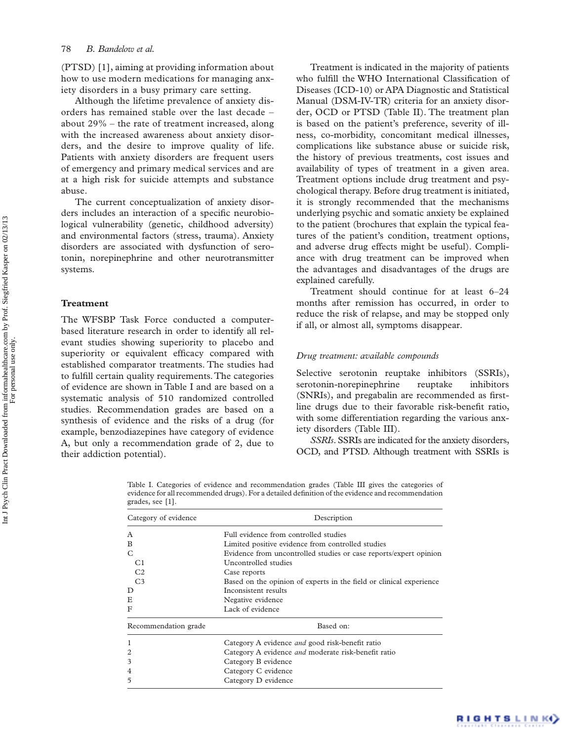(PTSD) [1], aiming at providing information about how to use modern medications for managing anxiety disorders in a busy primary care setting.

Although the lifetime prevalence of anxiety disorders has remained stable over the last decade – about  $29\%$  – the rate of treatment increased, along with the increased awareness about anxiety disorders, and the desire to improve quality of life. Patients with anxiety disorders are frequent users of emergency and primary medical services and are at a high risk for suicide attempts and substance abuse.

The current conceptualization of anxiety disorders includes an interaction of a specific neurobiological vulnerability (genetic, childhood adversity) and environmental factors (stress, trauma). Anxiety disorders are associated with dysfunction of serotonin, norepinephrine and other neurotransmitter systems.

# **Treatment**

The WFSBP Task Force conducted a computerbased literature research in order to identify all relevant studies showing superiority to placebo and superiority or equivalent efficacy compared with established comparator treatments. The studies had to fulfill certain quality requirements. The categories of evidence are shown in Table I and are based on a systematic analysis of 510 randomized controlled studies. Recommendation grades are based on a synthesis of evidence and the risks of a drug (for example, benzodiazepines have category of evidence A, but only a recommendation grade of 2, due to their addiction potential).

Treatment is indicated in the majority of patients who fulfill the WHO International Classification of Diseases (ICD-10) or APA Diagnostic and Statistical Manual (DSM-IV-TR) criteria for an anxiety disorder, OCD or PTSD (Table II). The treatment plan is based on the patient's preference, severity of illness, co-morbidity, concomitant medical illnesses, complications like substance abuse or suicide risk, the history of previous treatments, cost issues and availability of types of treatment in a given area. Treatment options include drug treatment and psychological therapy. Before drug treatment is initiated, it is strongly recommended that the mechanisms underlying psychic and somatic anxiety be explained to the patient (brochures that explain the typical features of the patient's condition, treatment options, and adverse drug effects might be useful). Compliance with drug treatment can be improved when the advantages and disadvantages of the drugs are explained carefully.

Treatment should continue for at least 6–24 months after remission has occurred, in order to reduce the risk of relapse, and may be stopped only if all, or almost all, symptoms disappear.

## *Drug treatment: available compounds*

Selective serotonin reuptake inhibitors (SSRIs), serotonin-norepinephrine reuptake inhibitors (SNRIs), and pregabalin are recommended as firstline drugs due to their favorable risk-benefit ratio, with some differentiation regarding the various anxiety disorders (Table III).

*SSRIs*. SSRIs are indicated for the anxiety disorders, OCD, and PTSD. Although treatment with SSRIs is

Table I. Categories of evidence and recommendation grades (Table III gives the categories of evidence for all recommended drugs). For a detailed definition of the evidence and recommendation grades, see [1].

| Category of evidence | Description                                                         |  |  |  |  |
|----------------------|---------------------------------------------------------------------|--|--|--|--|
| A                    | Full evidence from controlled studies                               |  |  |  |  |
| B                    | Limited positive evidence from controlled studies                   |  |  |  |  |
| C                    | Evidence from uncontrolled studies or case reports/expert opinion   |  |  |  |  |
| C1                   | Uncontrolled studies                                                |  |  |  |  |
| C <sub>2</sub>       | Case reports                                                        |  |  |  |  |
| C <sub>3</sub>       | Based on the opinion of experts in the field or clinical experience |  |  |  |  |
| D                    | Inconsistent results                                                |  |  |  |  |
| E                    | Negative evidence                                                   |  |  |  |  |
| F                    | Lack of evidence                                                    |  |  |  |  |
| Recommendation grade | Based on:                                                           |  |  |  |  |
|                      | Category A evidence <i>and</i> good risk-benefit ratio              |  |  |  |  |
| $\overline{2}$       | Category A evidence <i>and</i> moderate risk-benefit ratio          |  |  |  |  |
| 3                    | Category B evidence                                                 |  |  |  |  |
| 4                    | Category C evidence                                                 |  |  |  |  |
| 5                    | Category D evidence                                                 |  |  |  |  |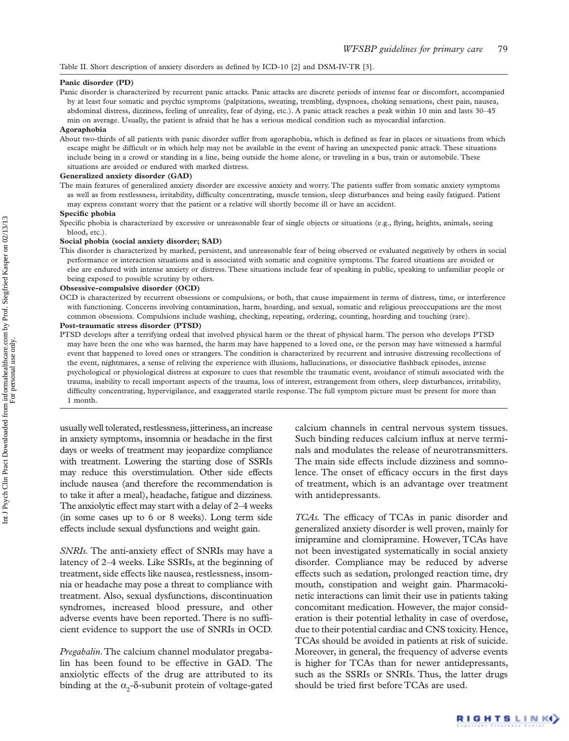Table II. Short description of anxiety disorders as defined by ICD-10 [2] and DSM-IV-TR [3].

#### **Panic disorder (PD)**

Panic disorder is characterized by recurrent panic attacks. Panic attacks are discrete periods of intense fear or discomfort, accompanied by at least four somatic and psychic symptoms (palpitations, sweating, trembling, dyspnoea, choking sensations, chest pain, nausea, abdominal distress, dizziness, feeling of unreality, fear of dying, etc.). A panic attack reaches a peak within 10 min and lasts 30-45 min on average. Usually, the patient is afraid that he has a serious medical condition such as myocardial infarction.

#### **Agoraphobia**

About two-thirds of all patients with panic disorder suffer from agoraphobia, which is defined as fear in places or situations from which escape might be difficult or in which help may not be available in the event of having an unexpected panic attack. These situations include being in a crowd or standing in a line, being outside the home alone, or traveling in a bus, train or automobile. These situations are avoided or endured with marked distress.

#### **Generalized anxiety disorder (GAD)**

The main features of generalized anxiety disorder are excessive anxiety and worry. The patients suffer from somatic anxiety symptoms as well as from restlessness, irritability, difficulty concentrating, muscle tension, sleep disturbances and being easily fatigued. Patient may express constant worry that the patient or a relative will shortly become ill or have an accident.

#### **Specific phobia**

Specific phobia is characterized by excessive or unreasonable fear of single objects or situations (e.g., flying, heights, animals, seeing blood, etc.).

#### **Social phobia (social anxiety disorder; SAD)**

This disorder is characterized by marked, persistent, and unreasonable fear of being observed or evaluated negatively by others in social performance or interaction situations and is associated with somatic and cognitive symptoms. The feared situations are avoided or else are endured with intense anxiety or distress. These situations include fear of speaking in public, speaking to unfamiliar people or being exposed to possible scrutiny by others.

#### **Obsessive-compulsive disorder (OCD)**

OCD is characterized by recurrent obsessions or compulsions, or both, that cause impairment in terms of distress, time, or interference with functioning. Concerns involving contamination, harm, hoarding, and sexual, somatic and religious preoccupations are the most common obsessions. Compulsions include washing, checking, repeating, ordering, counting, hoarding and touching (rare).

#### **Post-traumatic stress disorder (PTSD)**

PTSD develops after a terrifying ordeal that involved physical harm or the threat of physical harm. The person who develops PTSD may have been the one who was harmed, the harm may have happened to a loved one, or the person may have witnessed a harmful event that happened to loved ones or strangers. The condition is characterized by recurrent and intrusive distressing recollections of the event, nightmares, a sense of reliving the experience with illusions, hallucinations, or dissociative flashback episodes, intense psychological or physiological distress at exposure to cues that resemble the traumatic event, avoidance of stimuli associated with the trauma, inability to recall important aspects of the trauma, loss of interest, estrangement from others, sleep disturbances, irritability, difficulty concentrating, hypervigilance, and exaggerated startle response. The full symptom picture must be present for more than 1 month.

usually well tolerated, restlessness, jitteriness, an increase in anxiety symptoms, insomnia or headache in the first days or weeks of treatment may jeopardize compliance with treatment. Lowering the starting dose of SSRIs may reduce this overstimulation. Other side effects include nausea (and therefore the recommendation is to take it after a meal), headache, fatigue and dizziness. The anxiolytic effect may start with a delay of 2–4 weeks (in some cases up to 6 or 8 weeks). Long term side effects include sexual dysfunctions and weight gain.

*SNRIs.* The anti-anxiety effect of SNRIs may have a latency of 2-4 weeks. Like SSRIs, at the beginning of treatment, side effects like nausea, restlessness, insomnia or headache may pose a threat to compliance with treatment. Also, sexual dysfunctions, discontinuation syndromes, increased blood pressure, and other adverse events have been reported. There is no sufficient evidence to support the use of SNRIs in OCD.

*Pregabalin*. The calcium channel modulator pregabalin has been found to be effective in GAD. The anxiolytic effects of the drug are attributed to its binding at the  $\alpha_2$ - $\delta$ -subunit protein of voltage-gated

calcium channels in central nervous system tissues. Such binding reduces calcium influx at nerve terminals and modulates the release of neurotransmitters. The main side effects include dizziness and somnolence. The onset of efficacy occurs in the first days of treatment, which is an advantage over treatment with antidepressants.

*TCAs*. The efficacy of TCAs in panic disorder and generalized anxiety disorder is well proven, mainly for imipramine and clomipramine. However, TCAs have not been investigated systematically in social anxiety disorder. Compliance may be reduced by adverse effects such as sedation, prolonged reaction time, dry mouth, constipation and weight gain. Pharmacokinetic interactions can limit their use in patients taking concomitant medication. However, the major consideration is their potential lethality in case of overdose, due to their potential cardiac and CNS toxicity. Hence, TCAs should be avoided in patients at risk of suicide. Moreover, in general, the frequency of adverse events is higher for TCAs than for newer antidepressants, such as the SSRIs or SNRIs. Thus, the latter drugs should be tried first before TCAs are used.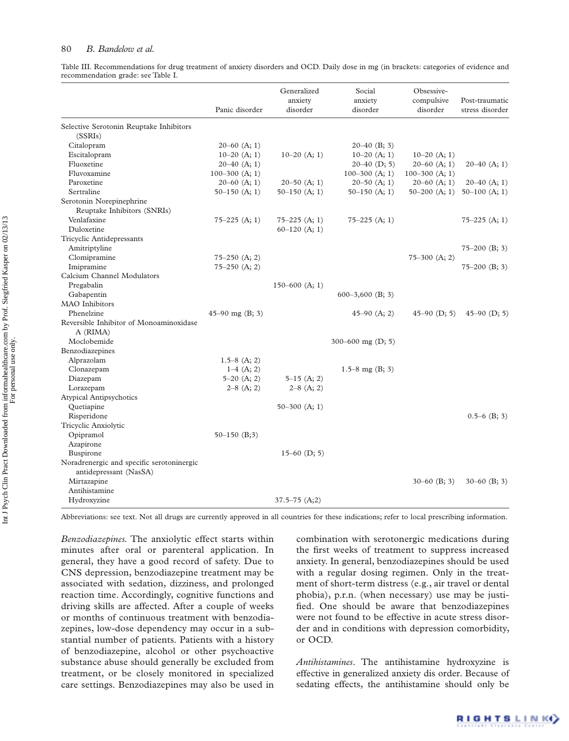## 80 *B. Bandelow et al.*

Table III. Recommendations for drug treatment of anxiety disorders and OCD. Daily dose in mg (in brackets: categories of evidence and recommendation grade: see Table I.

|                                                    | Panic disorder     | Generalized<br>anxiety<br>disorder | Social<br>anxiety<br>disorder | Obsessive-<br>compulsive<br>disorder | Post-traumatic<br>stress disorder |
|----------------------------------------------------|--------------------|------------------------------------|-------------------------------|--------------------------------------|-----------------------------------|
|                                                    |                    |                                    |                               |                                      |                                   |
| Selective Serotonin Reuptake Inhibitors<br>(SSRIs) |                    |                                    |                               |                                      |                                   |
| Citalopram                                         | $20-60$ (A; 1)     |                                    | $20-40$ (B; 3)                |                                      |                                   |
| Escitalopram                                       | $10-20$ (A; 1)     | $10-20$ (A; 1)                     | $10-20$ (A; 1)                | $10-20$ (A; 1)                       |                                   |
| Fluoxetine                                         | $20-40$ (A; 1)     |                                    | $20-40$ (D; 5)                | $20-60$ (A; 1)                       | 20-40 $(A; 1)$                    |
| Fluvoxamine                                        | $100 - 300$ (A; 1) |                                    | $100-300$ (A; 1)              | $100 - 300$ (A; 1)                   |                                   |
| Paroxetine                                         | $20-60$ (A; 1)     | $20-50$ (A; 1)                     | $20-50$ (A; 1)                | $20-60$ (A; 1)                       | $20-40$ (A; 1)                    |
| Sertraline                                         | $50-150$ (A; 1)    | 50-150 $(A; 1)$                    | $50-150$ (A; 1)               | $50 - 200$ (A; 1)                    | $50-100$ (A; 1)                   |
| Serotonin Norepinephrine                           |                    |                                    |                               |                                      |                                   |
| Reuptake Inhibitors (SNRIs)                        |                    |                                    |                               |                                      |                                   |
| Venlafaxine                                        | $75 - 225$ (A; 1)  | $75 - 225$ (A; 1)                  | $75 - 225$ (A; 1)             |                                      | $75 - 225$ (A; 1)                 |
| Duloxetine                                         |                    | $60-120$ (A; 1)                    |                               |                                      |                                   |
| Tricyclic Antidepressants                          |                    |                                    |                               |                                      |                                   |
| Amitriptyline                                      |                    |                                    |                               |                                      | $75 - 200$ (B; 3)                 |
| Clomipramine                                       | $75 - 250$ (A; 2)  |                                    |                               | $75 - 300$ (A; 2)                    |                                   |
| Imipramine                                         | $75 - 250$ (A; 2)  |                                    |                               |                                      | $75 - 200$ (B; 3)                 |
| Calcium Channel Modulators                         |                    |                                    |                               |                                      |                                   |
| Pregabalin                                         |                    | $150 - 600$ (A; 1)                 |                               |                                      |                                   |
| Gabapentin                                         |                    |                                    | 600-3,600 (B; 3)              |                                      |                                   |
| <b>MAO</b> Inhibitors                              |                    |                                    |                               |                                      |                                   |
| Phenelzine                                         | 45-90 mg $(B; 3)$  |                                    | $45-90$ (A; 2)                | $45-90$ (D; 5)                       | 45-90 $(D; 5)$                    |
| Reversible Inhibitor of Monoaminoxidase            |                    |                                    |                               |                                      |                                   |
| A (RIMA)                                           |                    |                                    |                               |                                      |                                   |
| Moclobemide                                        |                    |                                    | 300–600 mg $(D; 5)$           |                                      |                                   |
| Benzodiazepines                                    |                    |                                    |                               |                                      |                                   |
| Alprazolam                                         | $1.5-8$ $(A; 2)$   |                                    |                               |                                      |                                   |
| Clonazepam                                         | $1-4$ (A; 2)       |                                    | 1.5–8 mg $(B; 3)$             |                                      |                                   |
| Diazepam                                           | $5-20$ (A; 2)      | $5-15$ $(A; 2)$                    |                               |                                      |                                   |
| Lorazepam                                          | $2-8$ (A; 2)       | $2-8$ (A; 2)                       |                               |                                      |                                   |
| <b>Atypical Antipsychotics</b>                     |                    |                                    |                               |                                      |                                   |
| Quetiapine                                         |                    | $50 - 300$ (A; 1)                  |                               |                                      |                                   |
| Risperidone                                        |                    |                                    |                               |                                      | $0.5 - 6$ (B; 3)                  |
| Tricyclic Anxiolytic                               |                    |                                    |                               |                                      |                                   |
| Opipramol                                          | $50 - 150$ (B;3)   |                                    |                               |                                      |                                   |
| Azapirone                                          |                    |                                    |                               |                                      |                                   |
| Buspirone                                          |                    | $15-60$ (D; 5)                     |                               |                                      |                                   |
| Noradrenergic and specific serotoninergic          |                    |                                    |                               |                                      |                                   |
| antidepressant (NasSA)                             |                    |                                    |                               |                                      |                                   |
| Mirtazapine                                        |                    |                                    |                               | $30-60$ (B; 3)                       | $30-60$ (B; 3)                    |
| Antihistamine                                      |                    |                                    |                               |                                      |                                   |
| Hydroxyzine                                        |                    | $37.5 - 75$ $(A;2)$                |                               |                                      |                                   |

Abbreviations: see text. Not all drugs are currently approved in all countries for these indications; refer to local prescribing information.

*Benzodiazepines.* The anxiolytic effect starts within minutes after oral or parenteral application. In general, they have a good record of safety. Due to CNS depression, benzodiazepine treatment may be associated with sedation, dizziness, and prolonged reaction time. Accordingly, cognitive functions and driving skills are affected. After a couple of weeks or months of continuous treatment with benzodiazepines, low-dose dependency may occur in a substantial number of patients. Patients with a history of benzodiazepine, alcohol or other psychoactive substance abuse should generally be excluded from treatment, or be closely monitored in specialized care settings. Benzodiazepines may also be used in combination with serotonergic medications during the first weeks of treatment to suppress increased anxiety. In general, benzodiazepines should be used with a regular dosing regimen. Only in the treatment of short-term distress (e.g., air travel or dental phobia), p.r.n. (when necessary) use may be justified. One should be aware that benzodiazepines were not found to be effective in acute stress disorder and in conditions with depression comorbidity, or OCD.

*Antihistamines*. The antihistamine hydroxyzine is effective in generalized anxiety dis order. Because of sedating effects, the antihistamine should only be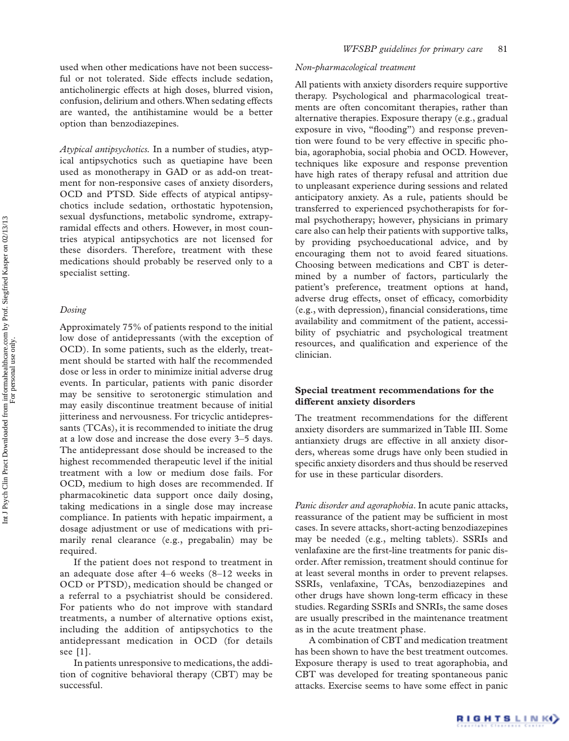used when other medications have not been successful or not tolerated. Side effects include sedation, anticholinergic effects at high doses, blurred vision, confusion, delirium and others. When sedating effects are wanted, the antihistamine would be a better option than benzodiazepines.

*Atypical antipsychotics.* In a number of studies, atypical antipsychotics such as quetiapine have been used as monotherapy in GAD or as add-on treatment for non-responsive cases of anxiety disorders, OCD and PTSD. Side effects of atypical antipsychotics include sedation, orthostatic hypotension, sexual dysfunctions, metabolic syndrome, extrapyramidal effects and others. However, in most countries atypical antipsychotics are not licensed for these disorders. Therefore, treatment with these medications should probably be reserved only to a specialist setting.

## *Dosing*

Approximately 75% of patients respond to the initial low dose of antidepressants (with the exception of OCD). In some patients, such as the elderly, treatment should be started with half the recommended dose or less in order to minimize initial adverse drug events. In particular, patients with panic disorder may be sensitive to serotonergic stimulation and may easily discontinue treatment because of initial jitteriness and nervousness. For tricyclic antidepressants (TCAs), it is recommended to initiate the drug at a low dose and increase the dose every 3–5 days. The antidepressant dose should be increased to the highest recommended therapeutic level if the initial treatment with a low or medium dose fails. For OCD, medium to high doses are recommended. If pharmacokinetic data support once daily dosing, taking medications in a single dose may increase compliance. In patients with hepatic impairment, a dosage adjustment or use of medications with primarily renal clearance (e.g., pregabalin) may be required.

If the patient does not respond to treatment in an adequate dose after  $4-6$  weeks  $(8-12$  weeks in OCD or PTSD), medication should be changed or a referral to a psychiatrist should be considered. For patients who do not improve with standard treatments, a number of alternative options exist, including the addition of antipsychotics to the antidepressant medication in OCD (for details see [1].

In patients unresponsive to medications, the addition of cognitive behavioral therapy (CBT) may be successful.

## *Non-pharmacological treatment*

All patients with anxiety disorders require supportive therapy. Psychological and pharmacological treatments are often concomitant therapies, rather than alternative therapies. Exposure therapy (e.g., gradual exposure in vivo, "flooding") and response prevention were found to be very effective in specific phobia, agoraphobia, social phobia and OCD. However, techniques like exposure and response prevention have high rates of therapy refusal and attrition due to unpleasant experience during sessions and related anticipatory anxiety. As a rule, patients should be transferred to experienced psychotherapists for formal psychotherapy; however, physicians in primary care also can help their patients with supportive talks, by providing psychoeducational advice, and by encouraging them not to avoid feared situations. Choosing between medications and CBT is determined by a number of factors, particularly the patient's preference, treatment options at hand, adverse drug effects, onset of efficacy, comorbidity (e.g., with depression), financial considerations, time availability and commitment of the patient, accessibility of psychiatric and psychological treatment resources, and qualification and experience of the clinician.

# **Special treatment recommendations for the different anxiety disorders**

The treatment recommendations for the different anxiety disorders are summarized in Table III. Some antianxiety drugs are effective in all anxiety disorders, whereas some drugs have only been studied in specific anxiety disorders and thus should be reserved for use in these particular disorders.

*Panic disorder and agoraphobia*. In acute panic attacks, reassurance of the patient may be sufficient in most cases. In severe attacks, short-acting benzodiazepines may be needed (e.g., melting tablets). SSRIs and venlafaxine are the first-line treatments for panic disorder. After remission, treatment should continue for at least several months in order to prevent relapses. SSRIs, venlafaxine, TCAs, benzodiazepines and other drugs have shown long-term efficacy in these studies. Regarding SSRIs and SNRIs, the same doses are usually prescribed in the maintenance treatment as in the acute treatment phase.

A combination of CBT and medication treatment has been shown to have the best treatment outcomes. Exposure therapy is used to treat agoraphobia, and CBT was developed for treating spontaneous panic attacks. Exercise seems to have some effect in panic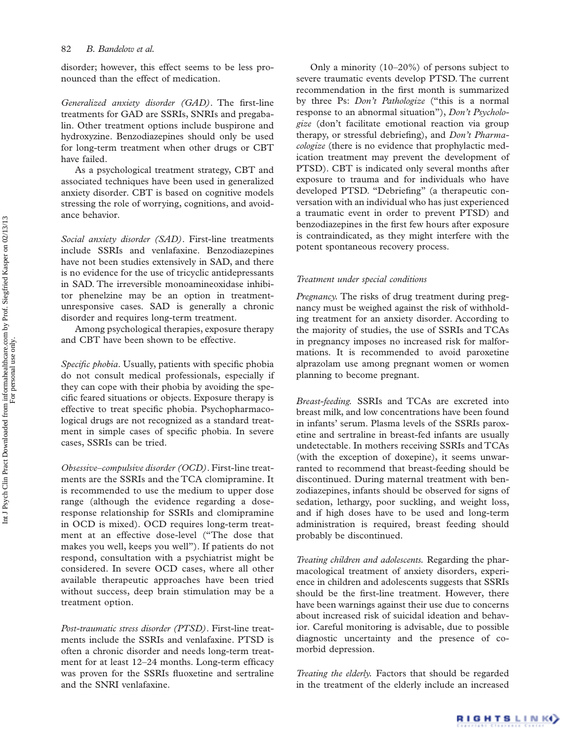disorder; however, this effect seems to be less pronounced than the effect of medication.

*Generalized anxiety disorder (GAD)*. The first-line treatments for GAD are SSRIs, SNRIs and pregabalin. Other treatment options include buspirone and hydroxyzine. Benzodiazepines should only be used for long-term treatment when other drugs or CBT have failed.

As a psychological treatment strategy, CBT and associated techniques have been used in generalized anxiety disorder. CBT is based on cognitive models stressing the role of worrying, cognitions, and avoidance behavior.

*Social anxiety disorder (SAD)*. First-line treatments include SSRIs and venlafaxine. Benzodiazepines have not been studies extensively in SAD, and there is no evidence for the use of tricyclic antidepressants in SAD. The irreversible monoamineoxidase inhibitor phenelzine may be an option in treatmentunresponsive cases. SAD is generally a chronic disorder and requires long-term treatment.

Among psychological therapies, exposure therapy and CBT have been shown to be effective.

*Specific phobia*. Usually, patients with specific phobia do not consult medical professionals, especially if they can cope with their phobia by avoiding the specific feared situations or objects. Exposure therapy is effective to treat specific phobia. Psychopharmacological drugs are not recognized as a standard treatment in simple cases of specific phobia. In severe cases, SSRIs can be tried.

*Obsessive – compulsive disorder (OCD)*. First-line treatments are the SSRIs and the TCA clomipramine. It is recommended to use the medium to upper dose range (although the evidence regarding a doseresponse relationship for SSRIs and clomipramine in OCD is mixed). OCD requires long-term treatment at an effective dose-level ("The dose that makes you well, keeps you well"). If patients do not respond, consultation with a psychiatrist might be considered. In severe OCD cases, where all other available therapeutic approaches have been tried without success, deep brain stimulation may be a treatment option.

*Post-traumatic stress disorder (PTSD)*. First-line treatments include the SSRIs and venlafaxine. PTSD is often a chronic disorder and needs long-term treatment for at least  $12-24$  months. Long-term efficacy was proven for the SSRIs fluoxetine and sertraline and the SNRI venlafaxine.

Only a minority  $(10-20\%)$  of persons subject to severe traumatic events develop PTSD. The current recommendation in the first month is summarized by three Ps: *Don't Pathologize* ("this is a normal response to an abnormal situation"), *Don't Psycholo*gize (don't facilitate emotional reaction via group therapy, or stressful debriefing), and *Don't Pharmacologize* (there is no evidence that prophylactic medication treatment may prevent the development of PTSD). CBT is indicated only several months after exposure to trauma and for individuals who have developed PTSD. "Debriefing" (a therapeutic conversation with an individual who has just experienced a traumatic event in order to prevent PTSD) and benzodiazepines in the first few hours after exposure is contraindicated, as they might interfere with the potent spontaneous recovery process.

## *Treatment under special conditions*

*Pregnancy.* The risks of drug treatment during pregnancy must be weighed against the risk of withholding treatment for an anxiety disorder. According to the majority of studies, the use of SSRIs and TCAs in pregnancy imposes no increased risk for malformations. It is recommended to avoid paroxetine alprazolam use among pregnant women or women planning to become pregnant.

*Breast-feeding.* SSRIs and TCAs are excreted into breast milk, and low concentrations have been found in infants' serum. Plasma levels of the SSRIs paroxetine and sertraline in breast-fed infants are usually undetectable. In mothers receiving SSRIs and TCAs (with the exception of doxepine), it seems unwarranted to recommend that breast-feeding should be discontinued. During maternal treatment with benzodiazepines, infants should be observed for signs of sedation, lethargy, poor suckling, and weight loss, and if high doses have to be used and long-term administration is required, breast feeding should probably be discontinued.

*Treating children and adolescents.* Regarding the pharmacological treatment of anxiety disorders, experience in children and adolescents suggests that SSRIs should be the first-line treatment. However, there have been warnings against their use due to concerns about increased risk of suicidal ideation and behavior. Careful monitoring is advisable, due to possible diagnostic uncertainty and the presence of comorbid depression.

*Treating the elderly.* Factors that should be regarded in the treatment of the elderly include an increased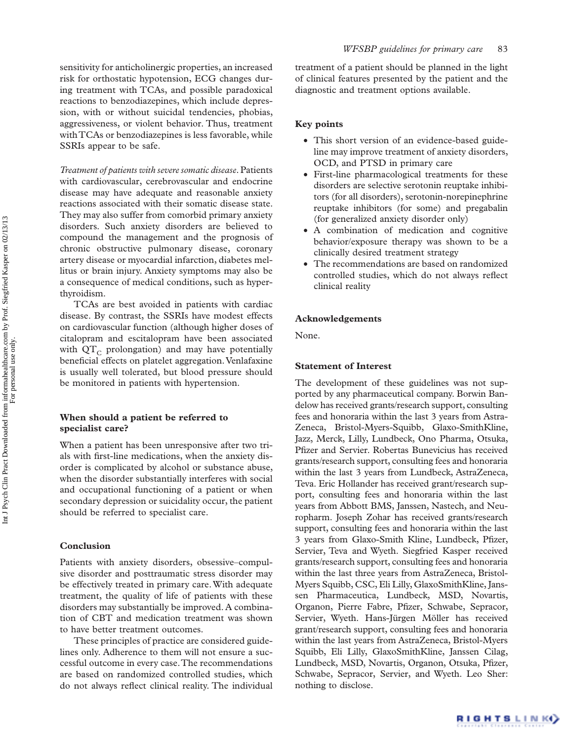sensitivity for anticholinergic properties, an increased risk for orthostatic hypotension, ECG changes during treatment with TCAs, and possible paradoxical reactions to benzodiazepines, which include depression, with or without suicidal tendencies, phobias, aggressiveness, or violent behavior. Thus, treatment with TCAs or benzodiazepines is less favorable, while SSRIs appear to be safe.

*Treatment of patients with severe somatic disease*. Patients with cardiovascular, cerebrovascular and endocrine disease may have adequate and reasonable anxiety reactions associated with their somatic disease state. They may also suffer from comorbid primary anxiety disorders. Such anxiety disorders are believed to compound the management and the prognosis of chronic obstructive pulmonary disease, coronary artery disease or myocardial infarction, diabetes mellitus or brain injury. Anxiety symptoms may also be a consequence of medical conditions, such as hyperthyroidism.

TCAs are best avoided in patients with cardiac disease. By contrast, the SSRIs have modest effects on cardiovascular function (although higher doses of citalopram and escitalopram have been associated with  $QT<sub>C</sub>$  prolongation) and may have potentially beneficial effects on platelet aggregation. Venlafaxine is usually well tolerated, but blood pressure should be monitored in patients with hypertension.

# **When should a patient be referred to specialist care?**

When a patient has been unresponsive after two trials with first-line medications, when the anxiety disorder is complicated by alcohol or substance abuse, when the disorder substantially interferes with social and occupational functioning of a patient or when secondary depression or suicidality occur, the patient should be referred to specialist care.

## **Conclusion**

Patients with anxiety disorders, obsessive–compulsive disorder and posttraumatic stress disorder may be effectively treated in primary care. With adequate treatment, the quality of life of patients with these disorders may substantially be improved. A combination of CBT and medication treatment was shown to have better treatment outcomes.

These principles of practice are considered guidelines only. Adherence to them will not ensure a successful outcome in every case. The recommendations are based on randomized controlled studies, which do not always reflect clinical reality. The individual treatment of a patient should be planned in the light of clinical features presented by the patient and the diagnostic and treatment options available.

# **Key points**

- This short version of an evidence-based guideline may improve treatment of anxiety disorders, OCD, and PTSD in primary care
- First-line pharmacological treatments for these disorders are selective serotonin reuptake inhibitors (for all disorders), serotonin-norepinephrine reuptake inhibitors (for some) and pregabalin (for generalized anxiety disorder only)
- A combination of medication and cognitive behavior/exposure therapy was shown to be a clinically desired treatment strategy
- The recommendations are based on randomized controlled studies, which do not always reflect clinical reality

# **Acknowledgements**

None.

## **Statement of Interest**

The development of these guidelines was not supported by any pharmaceutical company. Borwin Bandelow has received grants/research support, consulting fees and honoraria within the last 3 years from Astra-Zeneca, Bristol-Myers-Squibb, Glaxo-SmithKline, Jazz, Merck, Lilly, Lundbeck, Ono Pharma, Otsuka, Pfizer and Servier. Robertas Bunevicius has received grants/research support, consulting fees and honoraria within the last 3 years from Lundbeck, AstraZeneca, Teva. Eric Hollander has received grant/research support, consulting fees and honoraria within the last years from Abbott BMS, Janssen, Nastech, and Neuropharm. Joseph Zohar has received grants/research support, consulting fees and honoraria within the last 3 years from Glaxo-Smith Kline, Lundbeck, Pfizer, Servier, Teva and Wyeth. Siegfried Kasper received grants/research support, consulting fees and honoraria within the last three years from AstraZeneca, Bristol-Myers Squibb, CSC, Eli Lilly, GlaxoSmithKline, Janssen Pharmaceutica, Lundbeck, MSD, Novartis, Organon, Pierre Fabre, Pfizer, Schwabe, Sepracor, Servier, Wyeth. Hans-Jürgen Möller has received grant/research support, consulting fees and honoraria within the last years from AstraZeneca, Bristol-Myers Squibb, Eli Lilly, GlaxoSmithKline, Janssen Cilag, Lundbeck, MSD, Novartis, Organon, Otsuka, Pfizer, Schwabe, Sepracor, Servier, and Wyeth. Leo Sher: nothing to disclose .